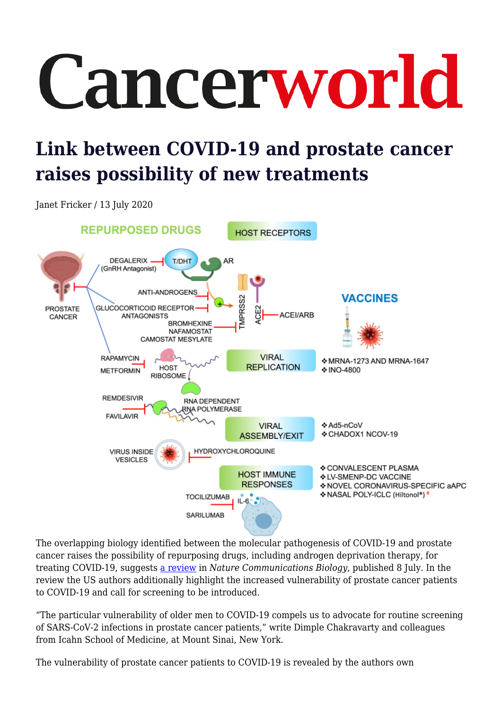## Cancerworld

## **Link between COVID-19 and prostate cancer raises possibility of new treatments**

Janet Fricker / 13 July 2020



The overlapping biology identified between the molecular pathogenesis of COVID-19 and prostate cancer raises the possibility of repurposing drugs, including androgen deprivation therapy, for treating COVID-19, suggests [a review](https://www.nature.com/articles/s42003-020-1088-9) in *Nature Communications Biology*, published 8 July. In the review the US authors additionally highlight the increased vulnerability of prostate cancer patients to COVID-19 and call for screening to be introduced.

"The particular vulnerability of older men to COVID-19 compels us to advocate for routine screening of SARS-CoV-2 infections in prostate cancer patients," write Dimple Chakravarty and colleagues from Icahn School of Medicine, at Mount Sinai, New York.

The vulnerability of prostate cancer patients to COVID-19 is revealed by the authors own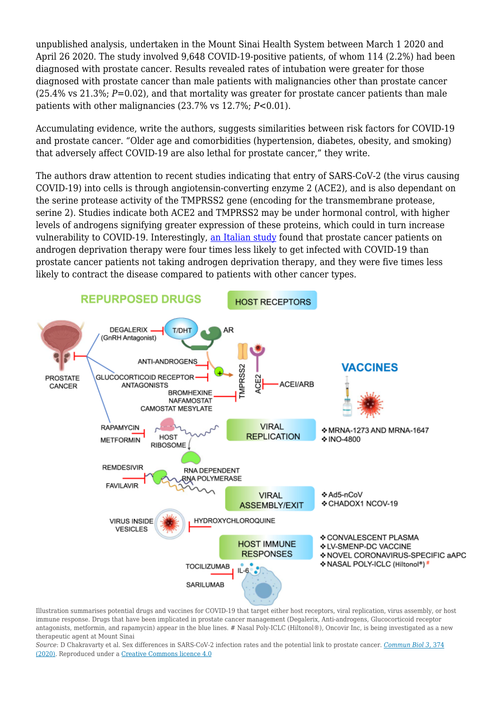unpublished analysis, undertaken in the Mount Sinai Health System between March 1 2020 and April 26 2020. The study involved 9,648 COVID-19-positive patients, of whom 114 (2.2%) had been diagnosed with prostate cancer. Results revealed rates of intubation were greater for those diagnosed with prostate cancer than male patients with malignancies other than prostate cancer (25.4% vs 21.3%; *P*=0.02), and that mortality was greater for prostate cancer patients than male patients with other malignancies (23.7% vs 12.7%; *P*<0.01).

Accumulating evidence, write the authors, suggests similarities between risk factors for COVID-19 and prostate cancer. "Older age and comorbidities (hypertension, diabetes, obesity, and smoking) that adversely affect COVID-19 are also lethal for prostate cancer," they write.

The authors draw attention to recent studies indicating that entry of SARS-CoV-2 (the virus causing COVID-19) into cells is through angiotensin-converting enzyme 2 (ACE2), and is also dependant on the serine protease activity of the TMPRSS2 gene (encoding for the transmembrane protease, serine 2). Studies indicate both ACE2 and TMPRSS2 may be under hormonal control, with higher levels of androgens signifying greater expression of these proteins, which could in turn increase vulnerability to COVID-19. Interestingly, [an Italian study](https://www.annalsofoncology.org/article/S0923-7534(20)39797-0/pdf) found that prostate cancer patients on androgen deprivation therapy were four times less likely to get infected with COVID-19 than prostate cancer patients not taking androgen deprivation therapy, and they were five times less likely to contract the disease compared to patients with other cancer types.



Illustration summarises potential drugs and vaccines for COVID-19 that target either host receptors, viral replication, virus assembly, or host immune response. Drugs that have been implicated in prostate cancer management (Degalerix, Anti-androgens, Glucocorticoid receptor antagonists, metformin, and rapamycin) appear in the blue lines. # Nasal Poly-ICLC (Hiltonol®), Oncovir Inc, is being investigated as a new therapeutic agent at Mount Sinai

*Source*: D Chakravarty et al. Sex differences in SARS-CoV-2 infection rates and the potential link to prostate cancer. *[Commun Biol 3,](https://www.nature.com/articles/s42003-020-1088-9)* [374](https://www.nature.com/articles/s42003-020-1088-9) [\(2020\).](https://www.nature.com/articles/s42003-020-1088-9) Reproduced under a [Creative Commons licence 4.0](http://creativecommons.org/licenses/by/4.0/)